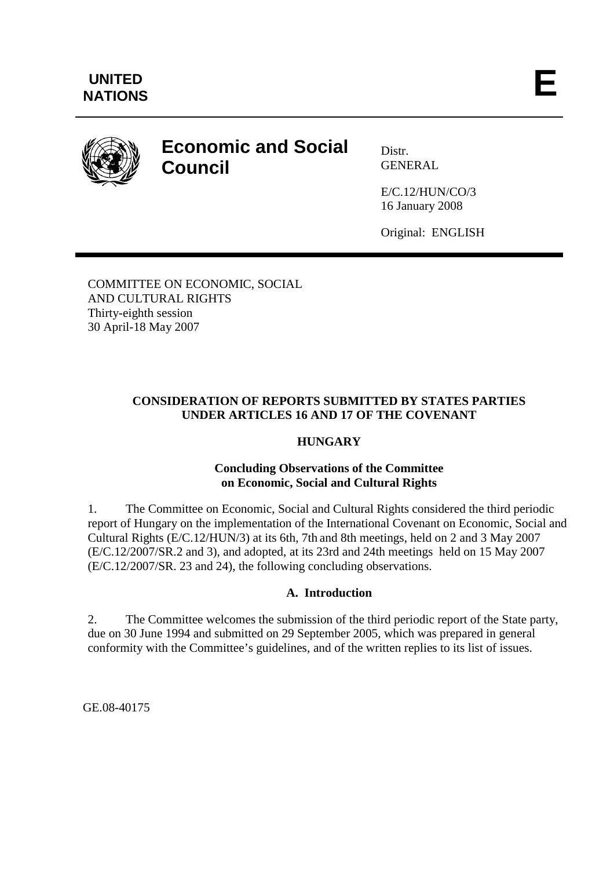

# **Economic and Social Council**

Distr. GENERAL

E/C.12/HUN/CO/3 16 January 2008

Original: ENGLISH

COMMITTEE ON ECONOMIC, SOCIAL AND CULTURAL RIGHTS Thirty-eighth session 30 April-18 May 2007

## **CONSIDERATION OF REPORTS SUBMITTED BY STATES PARTIES UNDER ARTICLES 16 AND 17 OF THE COVENANT**

# **HUNGARY**

#### **Concluding Observations of the Committee on Economic, Social and Cultural Rights**

1. The Committee on Economic, Social and Cultural Rights considered the third periodic report of Hungary on the implementation of the International Covenant on Economic, Social and Cultural Rights (E/C.12/HUN/3) at its 6th, 7th and 8th meetings, held on 2 and 3 May 2007 (E/C.12/2007/SR.2 and 3), and adopted, at its 23rd and 24th meetings held on 15 May 2007 (E/C.12/2007/SR. 23 and 24), the following concluding observations.

## **A. Introduction**

2. The Committee welcomes the submission of the third periodic report of the State party, due on 30 June 1994 and submitted on 29 September 2005, which was prepared in general conformity with the Committee's guidelines, and of the written replies to its list of issues.

GE.08-40175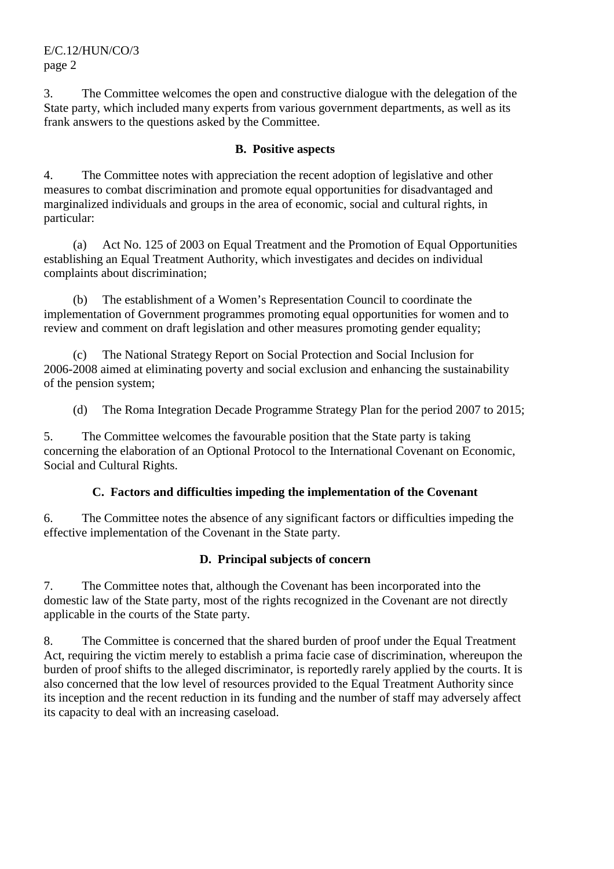E/C.12/HUN/CO/3 page 2

3. The Committee welcomes the open and constructive dialogue with the delegation of the State party, which included many experts from various government departments, as well as its frank answers to the questions asked by the Committee.

#### **B. Positive aspects**

4. The Committee notes with appreciation the recent adoption of legislative and other measures to combat discrimination and promote equal opportunities for disadvantaged and marginalized individuals and groups in the area of economic, social and cultural rights, in particular:

 (a) Act No. 125 of 2003 on Equal Treatment and the Promotion of Equal Opportunities establishing an Equal Treatment Authority, which investigates and decides on individual complaints about discrimination;

 (b) The establishment of a Women's Representation Council to coordinate the implementation of Government programmes promoting equal opportunities for women and to review and comment on draft legislation and other measures promoting gender equality;

 (c) The National Strategy Report on Social Protection and Social Inclusion for 2006-2008 aimed at eliminating poverty and social exclusion and enhancing the sustainability of the pension system;

(d) The Roma Integration Decade Programme Strategy Plan for the period 2007 to 2015;

5. The Committee welcomes the favourable position that the State party is taking concerning the elaboration of an Optional Protocol to the International Covenant on Economic, Social and Cultural Rights.

#### **C. Factors and difficulties impeding the implementation of the Covenant**

6. The Committee notes the absence of any significant factors or difficulties impeding the effective implementation of the Covenant in the State party.

## **D. Principal subjects of concern**

7. The Committee notes that, although the Covenant has been incorporated into the domestic law of the State party, most of the rights recognized in the Covenant are not directly applicable in the courts of the State party.

8. The Committee is concerned that the shared burden of proof under the Equal Treatment Act, requiring the victim merely to establish a prima facie case of discrimination, whereupon the burden of proof shifts to the alleged discriminator, is reportedly rarely applied by the courts. It is also concerned that the low level of resources provided to the Equal Treatment Authority since its inception and the recent reduction in its funding and the number of staff may adversely affect its capacity to deal with an increasing caseload.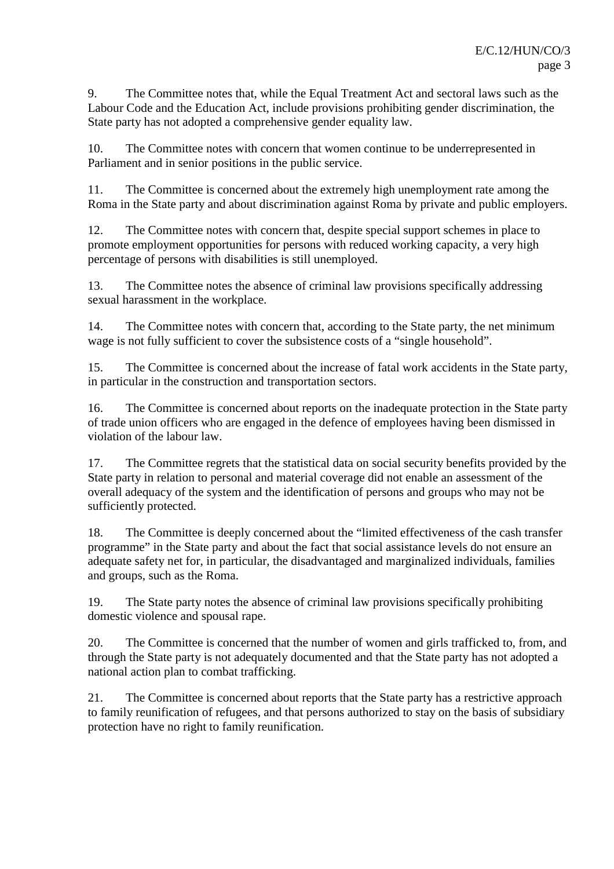9. The Committee notes that, while the Equal Treatment Act and sectoral laws such as the Labour Code and the Education Act, include provisions prohibiting gender discrimination, the State party has not adopted a comprehensive gender equality law.

10. The Committee notes with concern that women continue to be underrepresented in Parliament and in senior positions in the public service.

11. The Committee is concerned about the extremely high unemployment rate among the Roma in the State party and about discrimination against Roma by private and public employers.

12. The Committee notes with concern that, despite special support schemes in place to promote employment opportunities for persons with reduced working capacity, a very high percentage of persons with disabilities is still unemployed.

13. The Committee notes the absence of criminal law provisions specifically addressing sexual harassment in the workplace.

14. The Committee notes with concern that, according to the State party, the net minimum wage is not fully sufficient to cover the subsistence costs of a "single household".

15. The Committee is concerned about the increase of fatal work accidents in the State party, in particular in the construction and transportation sectors.

16. The Committee is concerned about reports on the inadequate protection in the State party of trade union officers who are engaged in the defence of employees having been dismissed in violation of the labour law.

17. The Committee regrets that the statistical data on social security benefits provided by the State party in relation to personal and material coverage did not enable an assessment of the overall adequacy of the system and the identification of persons and groups who may not be sufficiently protected.

18. The Committee is deeply concerned about the "limited effectiveness of the cash transfer programme" in the State party and about the fact that social assistance levels do not ensure an adequate safety net for, in particular, the disadvantaged and marginalized individuals, families and groups, such as the Roma.

19. The State party notes the absence of criminal law provisions specifically prohibiting domestic violence and spousal rape.

20. The Committee is concerned that the number of women and girls trafficked to, from, and through the State party is not adequately documented and that the State party has not adopted a national action plan to combat trafficking.

21. The Committee is concerned about reports that the State party has a restrictive approach to family reunification of refugees, and that persons authorized to stay on the basis of subsidiary protection have no right to family reunification.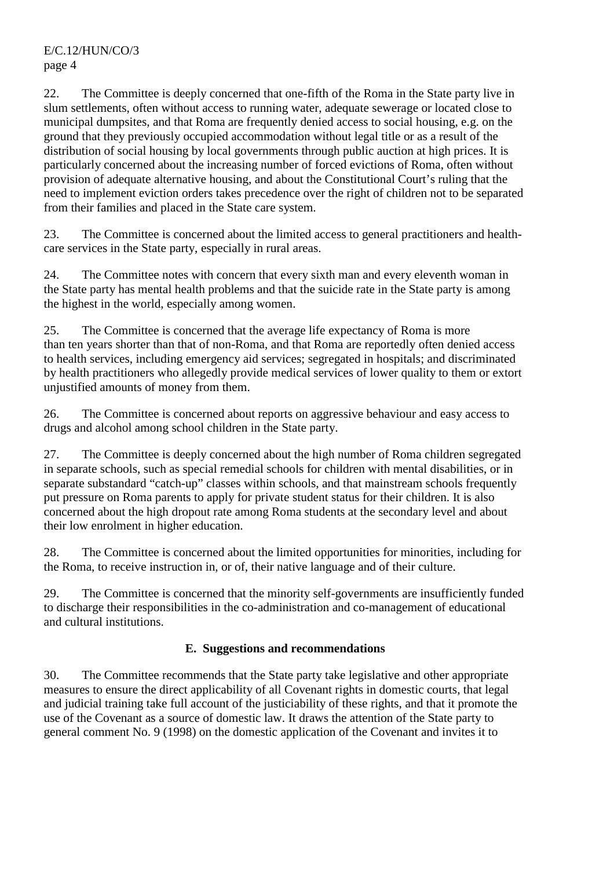E/C.12/HUN/CO/3 page 4

22. The Committee is deeply concerned that one-fifth of the Roma in the State party live in slum settlements, often without access to running water, adequate sewerage or located close to municipal dumpsites, and that Roma are frequently denied access to social housing, e.g. on the ground that they previously occupied accommodation without legal title or as a result of the distribution of social housing by local governments through public auction at high prices. It is particularly concerned about the increasing number of forced evictions of Roma, often without provision of adequate alternative housing, and about the Constitutional Court's ruling that the need to implement eviction orders takes precedence over the right of children not to be separated from their families and placed in the State care system.

23. The Committee is concerned about the limited access to general practitioners and healthcare services in the State party, especially in rural areas.

24. The Committee notes with concern that every sixth man and every eleventh woman in the State party has mental health problems and that the suicide rate in the State party is among the highest in the world, especially among women.

25. The Committee is concerned that the average life expectancy of Roma is more than ten years shorter than that of non-Roma, and that Roma are reportedly often denied access to health services, including emergency aid services; segregated in hospitals; and discriminated by health practitioners who allegedly provide medical services of lower quality to them or extort unjustified amounts of money from them.

26. The Committee is concerned about reports on aggressive behaviour and easy access to drugs and alcohol among school children in the State party.

27. The Committee is deeply concerned about the high number of Roma children segregated in separate schools, such as special remedial schools for children with mental disabilities, or in separate substandard "catch-up" classes within schools, and that mainstream schools frequently put pressure on Roma parents to apply for private student status for their children. It is also concerned about the high dropout rate among Roma students at the secondary level and about their low enrolment in higher education.

28. The Committee is concerned about the limited opportunities for minorities, including for the Roma, to receive instruction in, or of, their native language and of their culture.

29. The Committee is concerned that the minority self-governments are insufficiently funded to discharge their responsibilities in the co-administration and co-management of educational and cultural institutions.

# **E. Suggestions and recommendations**

30. The Committee recommends that the State party take legislative and other appropriate measures to ensure the direct applicability of all Covenant rights in domestic courts, that legal and judicial training take full account of the justiciability of these rights, and that it promote the use of the Covenant as a source of domestic law. It draws the attention of the State party to general comment No. 9 (1998) on the domestic application of the Covenant and invites it to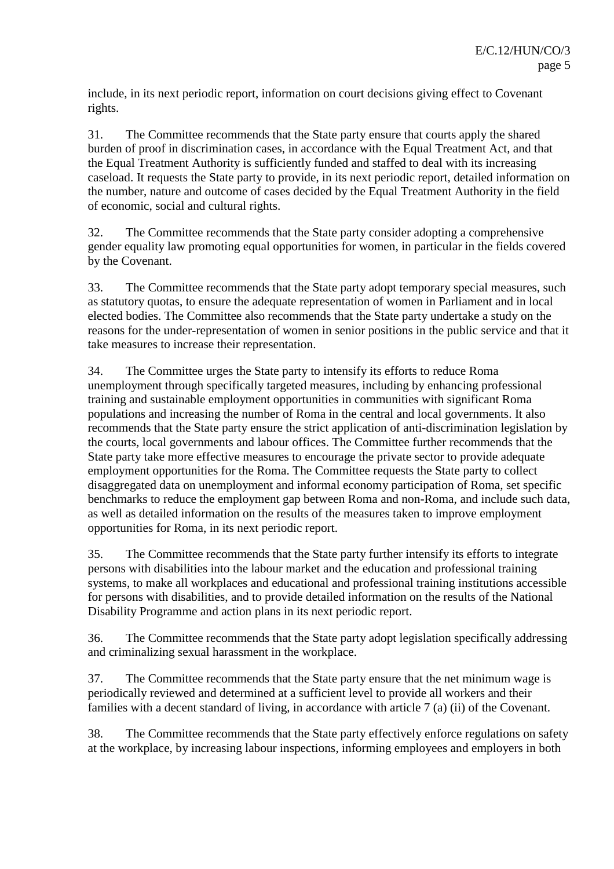include, in its next periodic report, information on court decisions giving effect to Covenant rights.

31. The Committee recommends that the State party ensure that courts apply the shared burden of proof in discrimination cases, in accordance with the Equal Treatment Act, and that the Equal Treatment Authority is sufficiently funded and staffed to deal with its increasing caseload. It requests the State party to provide, in its next periodic report, detailed information on the number, nature and outcome of cases decided by the Equal Treatment Authority in the field of economic, social and cultural rights.

32. The Committee recommends that the State party consider adopting a comprehensive gender equality law promoting equal opportunities for women, in particular in the fields covered by the Covenant.

33. The Committee recommends that the State party adopt temporary special measures, such as statutory quotas, to ensure the adequate representation of women in Parliament and in local elected bodies. The Committee also recommends that the State party undertake a study on the reasons for the under-representation of women in senior positions in the public service and that it take measures to increase their representation.

34. The Committee urges the State party to intensify its efforts to reduce Roma unemployment through specifically targeted measures, including by enhancing professional training and sustainable employment opportunities in communities with significant Roma populations and increasing the number of Roma in the central and local governments. It also recommends that the State party ensure the strict application of anti-discrimination legislation by the courts, local governments and labour offices. The Committee further recommends that the State party take more effective measures to encourage the private sector to provide adequate employment opportunities for the Roma. The Committee requests the State party to collect disaggregated data on unemployment and informal economy participation of Roma, set specific benchmarks to reduce the employment gap between Roma and non-Roma, and include such data, as well as detailed information on the results of the measures taken to improve employment opportunities for Roma, in its next periodic report.

35. The Committee recommends that the State party further intensify its efforts to integrate persons with disabilities into the labour market and the education and professional training systems, to make all workplaces and educational and professional training institutions accessible for persons with disabilities, and to provide detailed information on the results of the National Disability Programme and action plans in its next periodic report.

36. The Committee recommends that the State party adopt legislation specifically addressing and criminalizing sexual harassment in the workplace.

37. The Committee recommends that the State party ensure that the net minimum wage is periodically reviewed and determined at a sufficient level to provide all workers and their families with a decent standard of living, in accordance with article 7 (a) (ii) of the Covenant.

38. The Committee recommends that the State party effectively enforce regulations on safety at the workplace, by increasing labour inspections, informing employees and employers in both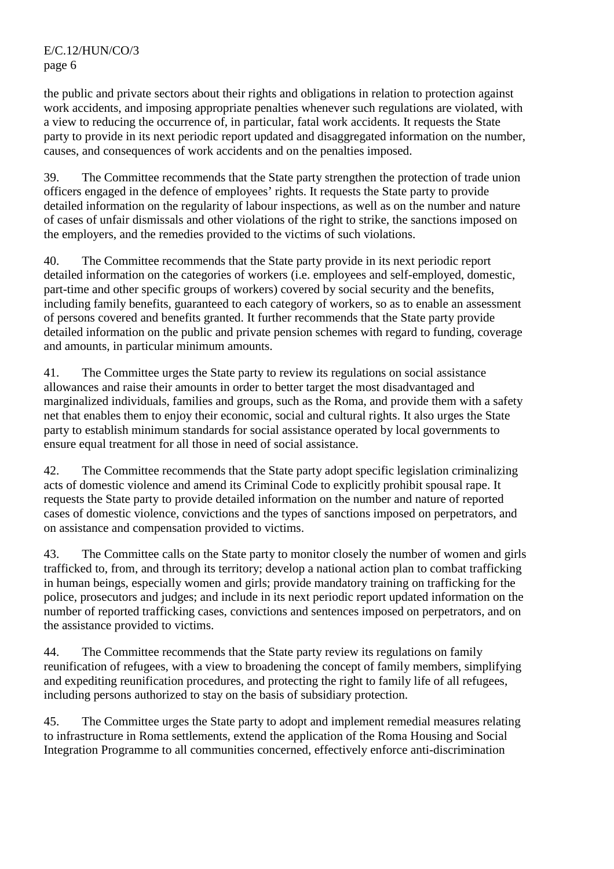the public and private sectors about their rights and obligations in relation to protection against work accidents, and imposing appropriate penalties whenever such regulations are violated, with a view to reducing the occurrence of, in particular, fatal work accidents. It requests the State party to provide in its next periodic report updated and disaggregated information on the number, causes, and consequences of work accidents and on the penalties imposed.

39. The Committee recommends that the State party strengthen the protection of trade union officers engaged in the defence of employees' rights. It requests the State party to provide detailed information on the regularity of labour inspections, as well as on the number and nature of cases of unfair dismissals and other violations of the right to strike, the sanctions imposed on the employers, and the remedies provided to the victims of such violations.

40. The Committee recommends that the State party provide in its next periodic report detailed information on the categories of workers (i.e. employees and self-employed, domestic, part-time and other specific groups of workers) covered by social security and the benefits, including family benefits, guaranteed to each category of workers, so as to enable an assessment of persons covered and benefits granted. It further recommends that the State party provide detailed information on the public and private pension schemes with regard to funding, coverage and amounts, in particular minimum amounts.

41. The Committee urges the State party to review its regulations on social assistance allowances and raise their amounts in order to better target the most disadvantaged and marginalized individuals, families and groups, such as the Roma, and provide them with a safety net that enables them to enjoy their economic, social and cultural rights. It also urges the State party to establish minimum standards for social assistance operated by local governments to ensure equal treatment for all those in need of social assistance.

42. The Committee recommends that the State party adopt specific legislation criminalizing acts of domestic violence and amend its Criminal Code to explicitly prohibit spousal rape. It requests the State party to provide detailed information on the number and nature of reported cases of domestic violence, convictions and the types of sanctions imposed on perpetrators, and on assistance and compensation provided to victims.

43. The Committee calls on the State party to monitor closely the number of women and girls trafficked to, from, and through its territory; develop a national action plan to combat trafficking in human beings, especially women and girls; provide mandatory training on trafficking for the police, prosecutors and judges; and include in its next periodic report updated information on the number of reported trafficking cases, convictions and sentences imposed on perpetrators, and on the assistance provided to victims.

44. The Committee recommends that the State party review its regulations on family reunification of refugees, with a view to broadening the concept of family members, simplifying and expediting reunification procedures, and protecting the right to family life of all refugees, including persons authorized to stay on the basis of subsidiary protection.

45. The Committee urges the State party to adopt and implement remedial measures relating to infrastructure in Roma settlements, extend the application of the Roma Housing and Social Integration Programme to all communities concerned, effectively enforce anti-discrimination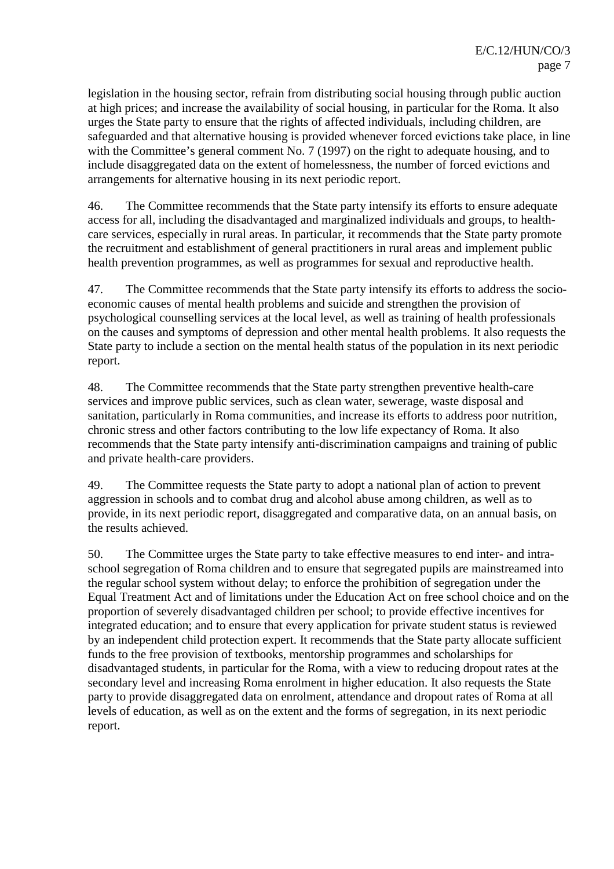legislation in the housing sector, refrain from distributing social housing through public auction at high prices; and increase the availability of social housing, in particular for the Roma. It also urges the State party to ensure that the rights of affected individuals, including children, are safeguarded and that alternative housing is provided whenever forced evictions take place, in line with the Committee's general comment No. 7 (1997) on the right to adequate housing, and to include disaggregated data on the extent of homelessness, the number of forced evictions and arrangements for alternative housing in its next periodic report.

46. The Committee recommends that the State party intensify its efforts to ensure adequate access for all, including the disadvantaged and marginalized individuals and groups, to healthcare services, especially in rural areas. In particular, it recommends that the State party promote the recruitment and establishment of general practitioners in rural areas and implement public health prevention programmes, as well as programmes for sexual and reproductive health.

47. The Committee recommends that the State party intensify its efforts to address the socioeconomic causes of mental health problems and suicide and strengthen the provision of psychological counselling services at the local level, as well as training of health professionals on the causes and symptoms of depression and other mental health problems. It also requests the State party to include a section on the mental health status of the population in its next periodic report.

48. The Committee recommends that the State party strengthen preventive health-care services and improve public services, such as clean water, sewerage, waste disposal and sanitation, particularly in Roma communities, and increase its efforts to address poor nutrition, chronic stress and other factors contributing to the low life expectancy of Roma. It also recommends that the State party intensify anti-discrimination campaigns and training of public and private health-care providers.

49. The Committee requests the State party to adopt a national plan of action to prevent aggression in schools and to combat drug and alcohol abuse among children, as well as to provide, in its next periodic report, disaggregated and comparative data, on an annual basis, on the results achieved.

50. The Committee urges the State party to take effective measures to end inter*-* and intraschool segregation of Roma children and to ensure that segregated pupils are mainstreamed into the regular school system without delay; to enforce the prohibition of segregation under the Equal Treatment Act and of limitations under the Education Act on free school choice and on the proportion of severely disadvantaged children per school; to provide effective incentives for integrated education; and to ensure that every application for private student status is reviewed by an independent child protection expert. It recommends that the State party allocate sufficient funds to the free provision of textbooks, mentorship programmes and scholarships for disadvantaged students, in particular for the Roma, with a view to reducing dropout rates at the secondary level and increasing Roma enrolment in higher education. It also requests the State party to provide disaggregated data on enrolment, attendance and dropout rates of Roma at all levels of education, as well as on the extent and the forms of segregation, in its next periodic report.